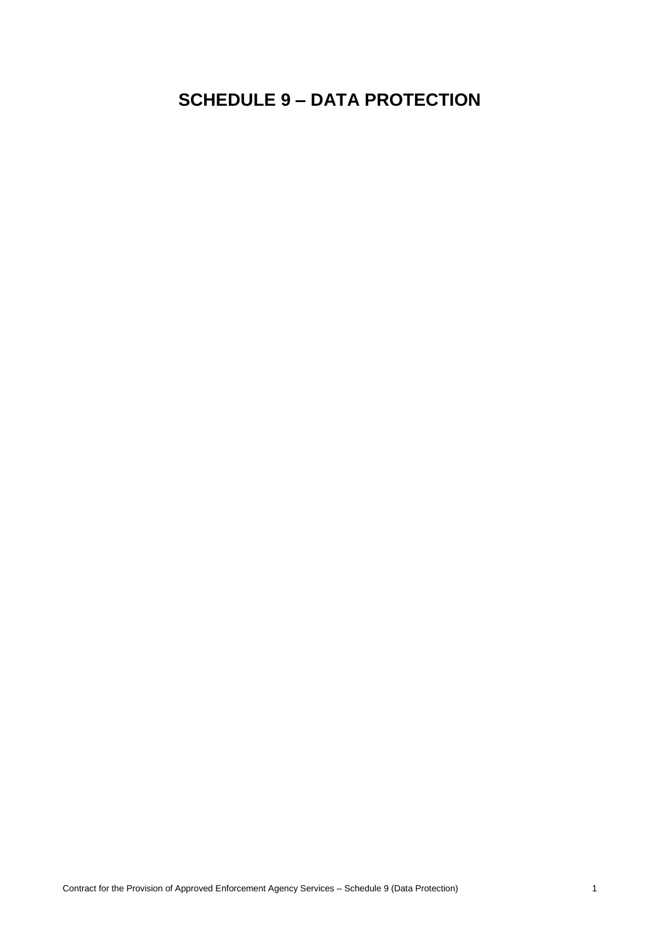# **SCHEDULE 9 – DATA PROTECTION**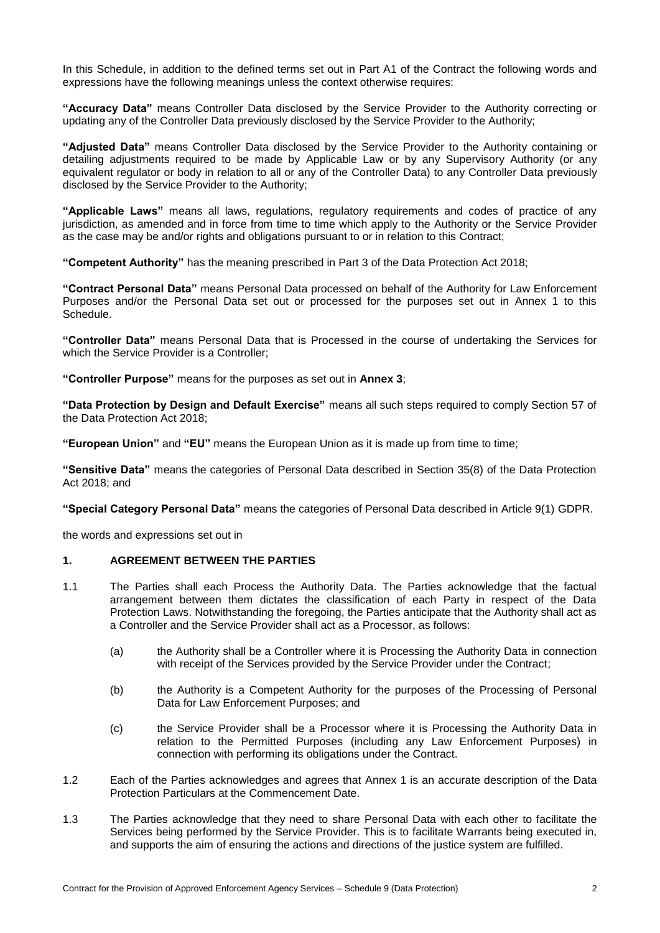In this Schedule, in addition to the defined terms set out in Part A1 of the Contract the following words and expressions have the following meanings unless the context otherwise requires:

**"Accuracy Data"** means Controller Data disclosed by the Service Provider to the Authority correcting or updating any of the Controller Data previously disclosed by the Service Provider to the Authority;

**"Adjusted Data"** means Controller Data disclosed by the Service Provider to the Authority containing or detailing adjustments required to be made by Applicable Law or by any Supervisory Authority (or any equivalent regulator or body in relation to all or any of the Controller Data) to any Controller Data previously disclosed by the Service Provider to the Authority;

**"Applicable Laws"** means all laws, regulations, regulatory requirements and codes of practice of any jurisdiction, as amended and in force from time to time which apply to the Authority or the Service Provider as the case may be and/or rights and obligations pursuant to or in relation to this Contract;

**"Competent Authority"** has the meaning prescribed in Part 3 of the Data Protection Act 2018;

**"Contract Personal Data"** means Personal Data processed on behalf of the Authority for Law Enforcement Purposes and/or the Personal Data set out or processed for the purposes set out in Annex 1 to this Schedule.

**"Controller Data"** means Personal Data that is Processed in the course of undertaking the Services for which the Service Provider is a Controller;

**"Controller Purpose"** means for the purposes as set out in **Annex 3**;

**"Data Protection by Design and Default Exercise"** means all such steps required to comply Section 57 of the Data Protection Act 2018;

**"European Union"** and **"EU"** means the European Union as it is made up from time to time;

**"Sensitive Data"** means the categories of Personal Data described in Section 35(8) of the Data Protection Act 2018; and

**"Special Category Personal Data"** means the categories of Personal Data described in Article 9(1) GDPR.

the words and expressions set out in

# **1. AGREEMENT BETWEEN THE PARTIES**

- <span id="page-1-0"></span>1.1 The Parties shall each Process the Authority Data. The Parties acknowledge that the factual arrangement between them dictates the classification of each Party in respect of the Data Protection Laws. Notwithstanding the foregoing, the Parties anticipate that the Authority shall act as a Controller and the Service Provider shall act as a Processor, as follows:
	- (a) the Authority shall be a Controller where it is Processing the Authority Data in connection with receipt of the Services provided by the Service Provider under the Contract;
	- (b) the Authority is a Competent Authority for the purposes of the Processing of Personal Data for Law Enforcement Purposes; and
	- (c) the Service Provider shall be a Processor where it is Processing the Authority Data in relation to the Permitted Purposes (including any Law Enforcement Purposes) in connection with performing its obligations under the Contract.
- 1.2 Each of the Parties acknowledges and agrees that Annex 1 is an accurate description of the Data Protection Particulars at the Commencement Date.
- 1.3 The Parties acknowledge that they need to share Personal Data with each other to facilitate the Services being performed by the Service Provider. This is to facilitate Warrants being executed in, and supports the aim of ensuring the actions and directions of the justice system are fulfilled.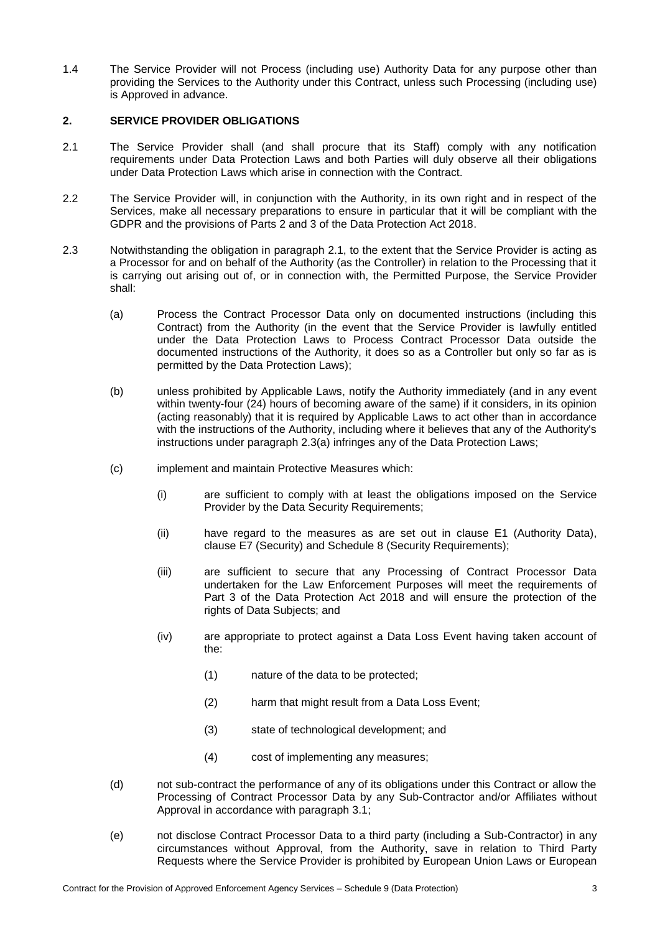1.4 The Service Provider will not Process (including use) Authority Data for any purpose other than providing the Services to the Authority under this Contract, unless such Processing (including use) is Approved in advance.

#### **2. SERVICE PROVIDER OBLIGATIONS**

- <span id="page-2-0"></span>2.1 The Service Provider shall (and shall procure that its Staff) comply with any notification requirements under Data Protection Laws and both Parties will duly observe all their obligations under Data Protection Laws which arise in connection with the Contract.
- 2.2 The Service Provider will, in conjunction with the Authority, in its own right and in respect of the Services, make all necessary preparations to ensure in particular that it will be compliant with the GDPR and the provisions of Parts 2 and 3 of the Data Protection Act 2018.
- <span id="page-2-2"></span><span id="page-2-1"></span>2.3 Notwithstanding the obligation in paragraph [2.1,](#page-2-0) to the extent that the Service Provider is acting as a Processor for and on behalf of the Authority (as the Controller) in relation to the Processing that it is carrying out arising out of, or in connection with, the Permitted Purpose, the Service Provider shall:
	- (a) Process the Contract Processor Data only on documented instructions (including this Contract) from the Authority (in the event that the Service Provider is lawfully entitled under the Data Protection Laws to Process Contract Processor Data outside the documented instructions of the Authority, it does so as a Controller but only so far as is permitted by the Data Protection Laws);
	- (b) unless prohibited by Applicable Laws, notify the Authority immediately (and in any event within twenty-four (24) hours of becoming aware of the same) if it considers, in its opinion (acting reasonably) that it is required by Applicable Laws to act other than in accordance with the instructions of the Authority, including where it believes that any of the Authority's instructions under paragraph [2.3\(](#page-2-1)a) infringes any of the Data Protection Laws;
	- (c) implement and maintain Protective Measures which:
		- (i) are sufficient to comply with at least the obligations imposed on the Service Provider by the Data Security Requirements;
		- (ii) have regard to the measures as are set out in clause E1 (Authority Data), clause E7 (Security) and Schedule 8 (Security Requirements);
		- (iii) are sufficient to secure that any Processing of Contract Processor Data undertaken for the Law Enforcement Purposes will meet the requirements of Part 3 of the Data Protection Act 2018 and will ensure the protection of the rights of Data Subjects; and
		- (iv) are appropriate to protect against a Data Loss Event having taken account of the:
			- (1) nature of the data to be protected;
			- (2) harm that might result from a Data Loss Event;
			- (3) state of technological development; and
			- (4) cost of implementing any measures;
	- (d) not sub-contract the performance of any of its obligations under this Contract or allow the Processing of Contract Processor Data by any Sub-Contractor and/or Affiliates without Approval in accordance with paragraph [3.1;](#page-6-0)
	- (e) not disclose Contract Processor Data to a third party (including a Sub-Contractor) in any circumstances without Approval, from the Authority, save in relation to Third Party Requests where the Service Provider is prohibited by European Union Laws or European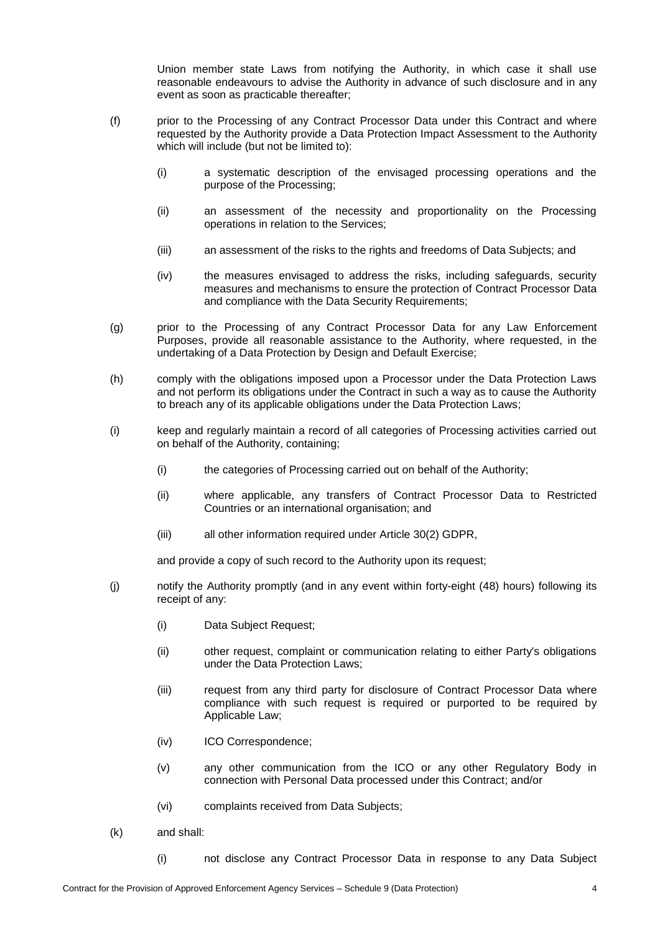Union member state Laws from notifying the Authority, in which case it shall use reasonable endeavours to advise the Authority in advance of such disclosure and in any event as soon as practicable thereafter;

- (f) prior to the Processing of any Contract Processor Data under this Contract and where requested by the Authority provide a Data Protection Impact Assessment to the Authority which will include (but not be limited to):
	- (i) a systematic description of the envisaged processing operations and the purpose of the Processing;
	- (ii) an assessment of the necessity and proportionality on the Processing operations in relation to the Services;
	- (iii) an assessment of the risks to the rights and freedoms of Data Subjects; and
	- (iv) the measures envisaged to address the risks, including safeguards, security measures and mechanisms to ensure the protection of Contract Processor Data and compliance with the Data Security Requirements;
- (g) prior to the Processing of any Contract Processor Data for any Law Enforcement Purposes, provide all reasonable assistance to the Authority, where requested, in the undertaking of a Data Protection by Design and Default Exercise;
- (h) comply with the obligations imposed upon a Processor under the Data Protection Laws and not perform its obligations under the Contract in such a way as to cause the Authority to breach any of its applicable obligations under the Data Protection Laws;
- (i) keep and regularly maintain a record of all categories of Processing activities carried out on behalf of the Authority, containing;
	- (i) the categories of Processing carried out on behalf of the Authority;
	- (ii) where applicable, any transfers of Contract Processor Data to Restricted Countries or an international organisation; and
	- (iii) all other information required under Article 30(2) GDPR,

and provide a copy of such record to the Authority upon its request;

- (j) notify the Authority promptly (and in any event within forty-eight (48) hours) following its receipt of any:
	- (i) Data Subject Request;
	- (ii) other request, complaint or communication relating to either Party's obligations under the Data Protection Laws;
	- (iii) request from any third party for disclosure of Contract Processor Data where compliance with such request is required or purported to be required by Applicable Law;
	- (iv) ICO Correspondence;
	- (v) any other communication from the ICO or any other Regulatory Body in connection with Personal Data processed under this Contract; and/or
	- (vi) complaints received from Data Subjects;
- (k) and shall:
	- (i) not disclose any Contract Processor Data in response to any Data Subject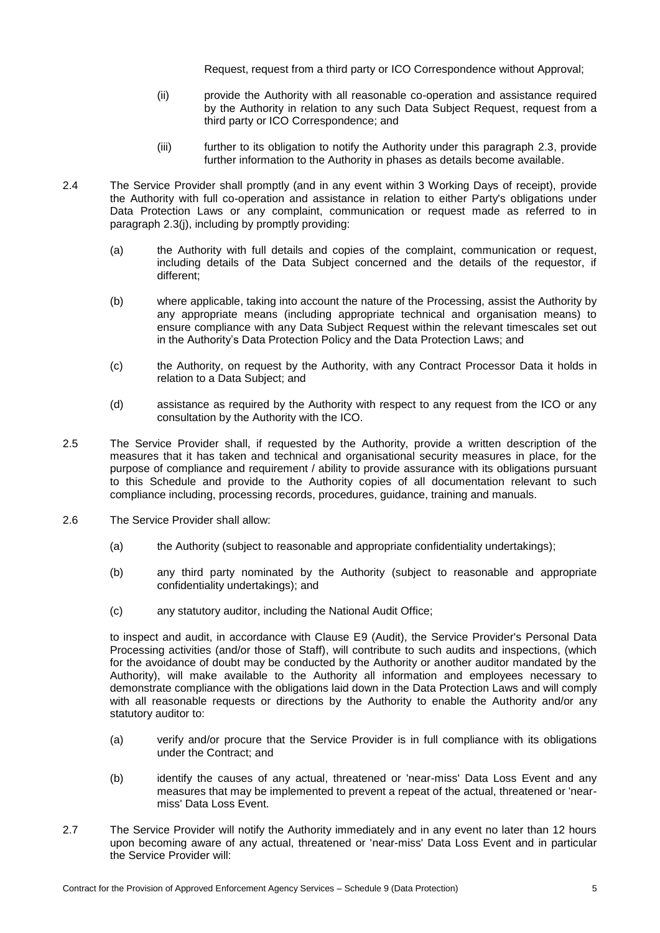Request, request from a third party or ICO Correspondence without Approval;

- (ii) provide the Authority with all reasonable co-operation and assistance required by the Authority in relation to any such Data Subject Request, request from a third party or ICO Correspondence; and
- (iii) further to its obligation to notify the Authority under this paragraph [2.3,](#page-2-1) provide further information to the Authority in phases as details become available.
- 2.4 The Service Provider shall promptly (and in any event within 3 Working Days of receipt), provide the Authority with full co-operation and assistance in relation to either Party's obligations under Data Protection Laws or any complaint, communication or request made as referred to in paragraph [2.3\(](#page-2-1)j), including by promptly providing:
	- (a) the Authority with full details and copies of the complaint, communication or request, including details of the Data Subject concerned and the details of the requestor, if different;
	- (b) where applicable, taking into account the nature of the Processing, assist the Authority by any appropriate means (including appropriate technical and organisation means) to ensure compliance with any Data Subject Request within the relevant timescales set out in the Authority's Data Protection Policy and the Data Protection Laws; and
	- (c) the Authority, on request by the Authority, with any Contract Processor Data it holds in relation to a Data Subject; and
	- (d) assistance as required by the Authority with respect to any request from the ICO or any consultation by the Authority with the ICO.
- 2.5 The Service Provider shall, if requested by the Authority, provide a written description of the measures that it has taken and technical and organisational security measures in place, for the purpose of compliance and requirement / ability to provide assurance with its obligations pursuant to this Schedule and provide to the Authority copies of all documentation relevant to such compliance including, processing records, procedures, guidance, training and manuals.
- <span id="page-4-0"></span>2.6 The Service Provider shall allow:
	- (a) the Authority (subject to reasonable and appropriate confidentiality undertakings);
	- (b) any third party nominated by the Authority (subject to reasonable and appropriate confidentiality undertakings); and
	- (c) any statutory auditor, including the National Audit Office;

to inspect and audit, in accordance with Clause E9 (Audit), the Service Provider's Personal Data Processing activities (and/or those of Staff), will contribute to such audits and inspections, (which for the avoidance of doubt may be conducted by the Authority or another auditor mandated by the Authority), will make available to the Authority all information and employees necessary to demonstrate compliance with the obligations laid down in the Data Protection Laws and will comply with all reasonable requests or directions by the Authority to enable the Authority and/or any statutory auditor to:

- (a) verify and/or procure that the Service Provider is in full compliance with its obligations under the Contract; and
- (b) identify the causes of any actual, threatened or 'near-miss' Data Loss Event and any measures that may be implemented to prevent a repeat of the actual, threatened or 'nearmiss' Data Loss Event.
- <span id="page-4-1"></span>2.7 The Service Provider will notify the Authority immediately and in any event no later than 12 hours upon becoming aware of any actual, threatened or 'near-miss' Data Loss Event and in particular the Service Provider will: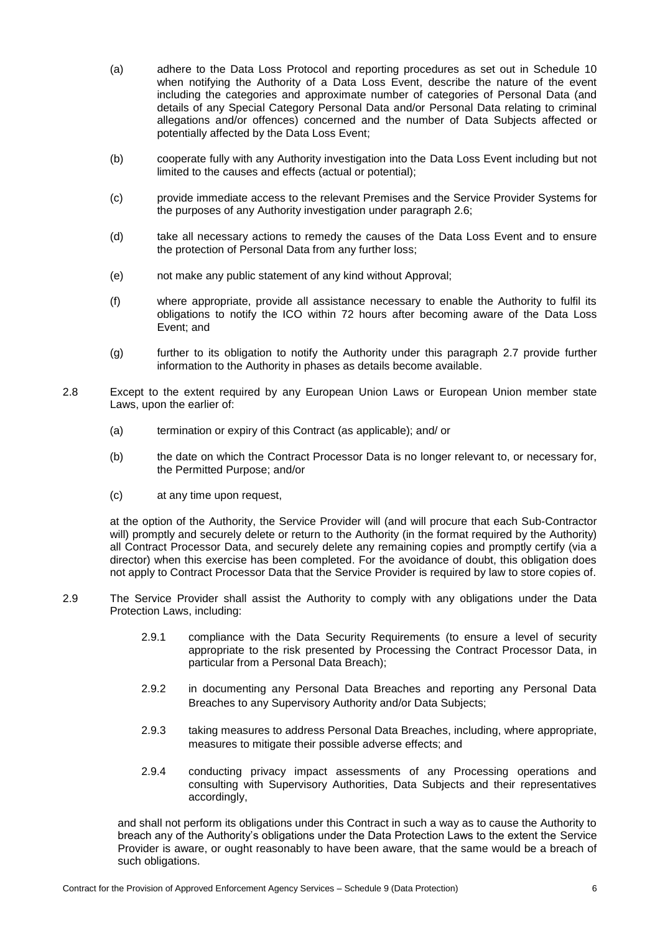- (a) adhere to the Data Loss Protocol and reporting procedures as set out in Schedule 10 when notifying the Authority of a Data Loss Event, describe the nature of the event including the categories and approximate number of categories of Personal Data (and details of any Special Category Personal Data and/or Personal Data relating to criminal allegations and/or offences) concerned and the number of Data Subjects affected or potentially affected by the Data Loss Event;
- (b) cooperate fully with any Authority investigation into the Data Loss Event including but not limited to the causes and effects (actual or potential);
- (c) provide immediate access to the relevant Premises and the Service Provider Systems for the purposes of any Authority investigation under paragraph [2.6;](#page-4-0)
- (d) take all necessary actions to remedy the causes of the Data Loss Event and to ensure the protection of Personal Data from any further loss;
- (e) not make any public statement of any kind without Approval;
- (f) where appropriate, provide all assistance necessary to enable the Authority to fulfil its obligations to notify the ICO within 72 hours after becoming aware of the Data Loss Event; and
- (g) further to its obligation to notify the Authority under this paragraph [2.7](#page-4-1) provide further information to the Authority in phases as details become available.
- 2.8 Except to the extent required by any European Union Laws or European Union member state Laws, upon the earlier of:
	- (a) termination or expiry of this Contract (as applicable); and/ or
	- (b) the date on which the Contract Processor Data is no longer relevant to, or necessary for, the Permitted Purpose; and/or
	- (c) at any time upon request,

at the option of the Authority, the Service Provider will (and will procure that each Sub-Contractor will) promptly and securely delete or return to the Authority (in the format required by the Authority) all Contract Processor Data, and securely delete any remaining copies and promptly certify (via a director) when this exercise has been completed. For the avoidance of doubt, this obligation does not apply to Contract Processor Data that the Service Provider is required by law to store copies of.

- 2.9 The Service Provider shall assist the Authority to comply with any obligations under the Data Protection Laws, including:
	- 2.9.1 compliance with the Data Security Requirements (to ensure a level of security appropriate to the risk presented by Processing the Contract Processor Data, in particular from a Personal Data Breach);
	- 2.9.2 in documenting any Personal Data Breaches and reporting any Personal Data Breaches to any Supervisory Authority and/or Data Subjects;
	- 2.9.3 taking measures to address Personal Data Breaches, including, where appropriate, measures to mitigate their possible adverse effects; and
	- 2.9.4 conducting privacy impact assessments of any Processing operations and consulting with Supervisory Authorities, Data Subjects and their representatives accordingly,

and shall not perform its obligations under this Contract in such a way as to cause the Authority to breach any of the Authority's obligations under the Data Protection Laws to the extent the Service Provider is aware, or ought reasonably to have been aware, that the same would be a breach of such obligations.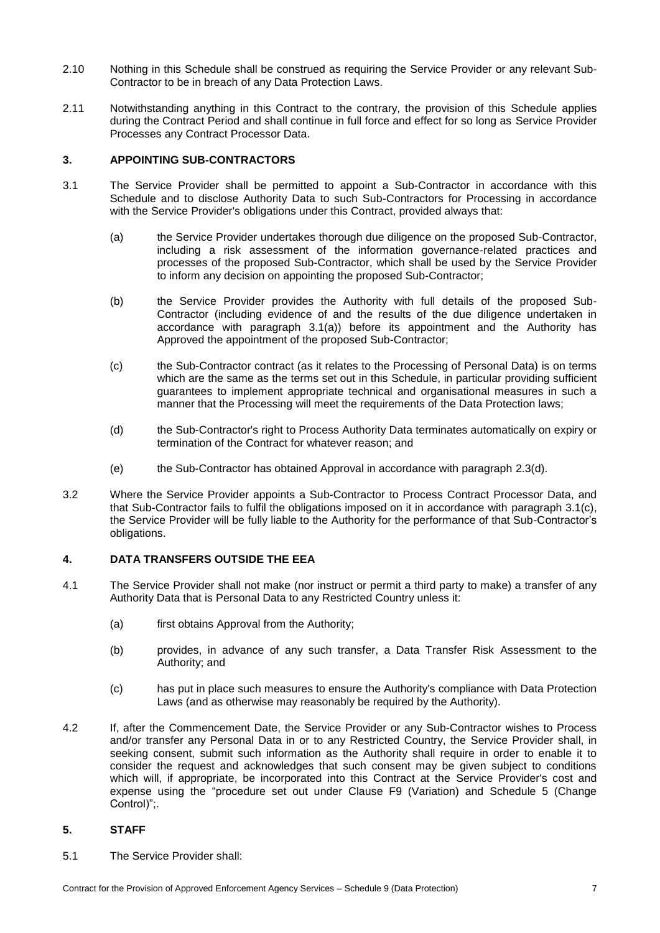- 2.10 Nothing in this Schedule shall be construed as requiring the Service Provider or any relevant Sub-Contractor to be in breach of any Data Protection Laws.
- 2.11 Notwithstanding anything in this Contract to the contrary, the provision of this Schedule applies during the Contract Period and shall continue in full force and effect for so long as Service Provider Processes any Contract Processor Data.

## **3. APPOINTING SUB-CONTRACTORS**

- <span id="page-6-0"></span>3.1 The Service Provider shall be permitted to appoint a Sub-Contractor in accordance with this Schedule and to disclose Authority Data to such Sub-Contractors for Processing in accordance with the Service Provider's obligations under this Contract, provided always that:
	- (a) the Service Provider undertakes thorough due diligence on the proposed Sub-Contractor, including a risk assessment of the information governance-related practices and processes of the proposed Sub-Contractor, which shall be used by the Service Provider to inform any decision on appointing the proposed Sub-Contractor;
	- (b) the Service Provider provides the Authority with full details of the proposed Sub-Contractor (including evidence of and the results of the due diligence undertaken in accordance with paragraph [3.1\(](#page-6-0)a)) before its appointment and the Authority has Approved the appointment of the proposed Sub-Contractor;
	- (c) the Sub-Contractor contract (as it relates to the Processing of Personal Data) is on terms which are the same as the terms set out in this Schedule, in particular providing sufficient guarantees to implement appropriate technical and organisational measures in such a manner that the Processing will meet the requirements of the Data Protection laws;
	- (d) the Sub-Contractor's right to Process Authority Data terminates automatically on expiry or termination of the Contract for whatever reason; and
	- (e) the Sub-Contractor has obtained Approval in accordance with paragraph [2.3\(d\).](#page-2-2)
- 3.2 Where the Service Provider appoints a Sub-Contractor to Process Contract Processor Data, and that Sub-Contractor fails to fulfil the obligations imposed on it in accordance with paragraph 3.1(c), the Service Provider will be fully liable to the Authority for the performance of that Sub-Contractor's obligations.

## **4. DATA TRANSFERS OUTSIDE THE EEA**

- 4.1 The Service Provider shall not make (nor instruct or permit a third party to make) a transfer of any Authority Data that is Personal Data to any Restricted Country unless it:
	- (a) first obtains Approval from the Authority;
	- (b) provides, in advance of any such transfer, a Data Transfer Risk Assessment to the Authority; and
	- (c) has put in place such measures to ensure the Authority's compliance with Data Protection Laws (and as otherwise may reasonably be required by the Authority).
- 4.2 If, after the Commencement Date, the Service Provider or any Sub-Contractor wishes to Process and/or transfer any Personal Data in or to any Restricted Country, the Service Provider shall, in seeking consent, submit such information as the Authority shall require in order to enable it to consider the request and acknowledges that such consent may be given subject to conditions which will, if appropriate, be incorporated into this Contract at the Service Provider's cost and expense using the "procedure set out under Clause F9 (Variation) and Schedule 5 (Change Control)";.

## **5. STAFF**

5.1 The Service Provider shall: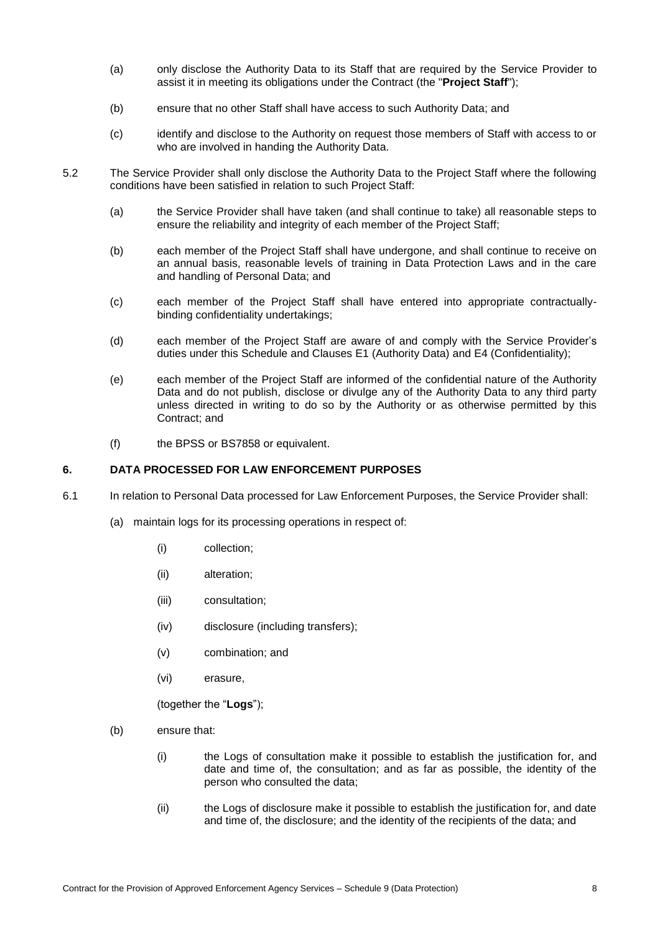- (a) only disclose the Authority Data to its Staff that are required by the Service Provider to assist it in meeting its obligations under the Contract (the "**Project Staff**");
- (b) ensure that no other Staff shall have access to such Authority Data; and
- (c) identify and disclose to the Authority on request those members of Staff with access to or who are involved in handing the Authority Data.
- 5.2 The Service Provider shall only disclose the Authority Data to the Project Staff where the following conditions have been satisfied in relation to such Project Staff:
	- (a) the Service Provider shall have taken (and shall continue to take) all reasonable steps to ensure the reliability and integrity of each member of the Project Staff;
	- (b) each member of the Project Staff shall have undergone, and shall continue to receive on an annual basis, reasonable levels of training in Data Protection Laws and in the care and handling of Personal Data; and
	- (c) each member of the Project Staff shall have entered into appropriate contractuallybinding confidentiality undertakings;
	- (d) each member of the Project Staff are aware of and comply with the Service Provider's duties under this Schedule and Clauses E1 (Authority Data) and E4 (Confidentiality);
	- (e) each member of the Project Staff are informed of the confidential nature of the Authority Data and do not publish, disclose or divulge any of the Authority Data to any third party unless directed in writing to do so by the Authority or as otherwise permitted by this Contract; and
	- (f) the BPSS or BS7858 or equivalent.

#### **6. DATA PROCESSED FOR LAW ENFORCEMENT PURPOSES**

- 6.1 In relation to Personal Data processed for Law Enforcement Purposes, the Service Provider shall:
	- (a) maintain logs for its processing operations in respect of:
		- (i) collection;
		- (ii) alteration;
		- (iii) consultation;
		- (iv) disclosure (including transfers);
		- (v) combination; and
		- (vi) erasure,

(together the "**Logs**");

- (b) ensure that:
	- (i) the Logs of consultation make it possible to establish the justification for, and date and time of, the consultation; and as far as possible, the identity of the person who consulted the data;
	- (ii) the Logs of disclosure make it possible to establish the justification for, and date and time of, the disclosure; and the identity of the recipients of the data; and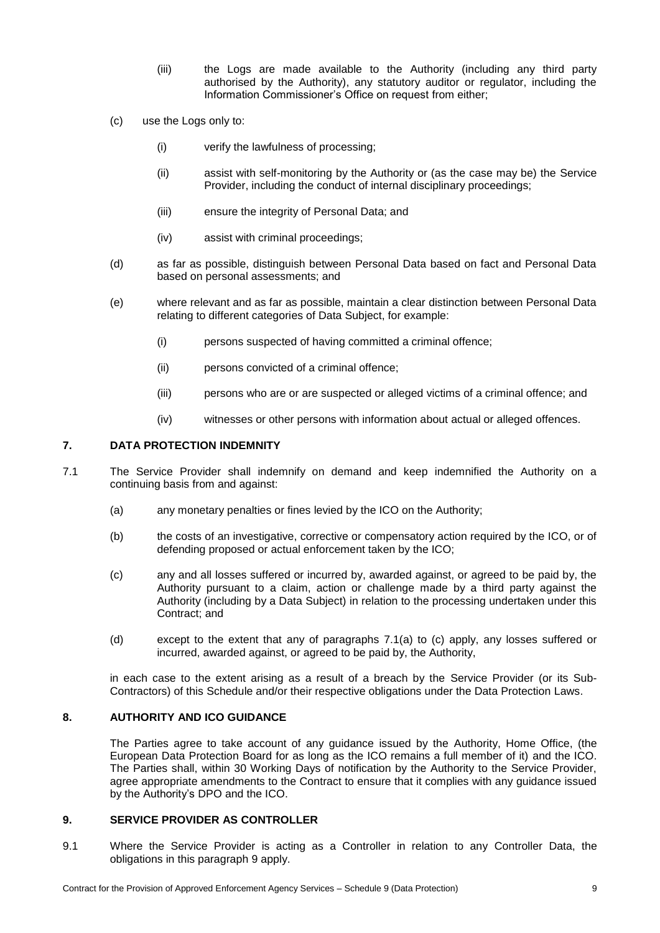- (iii) the Logs are made available to the Authority (including any third party authorised by the Authority), any statutory auditor or regulator, including the Information Commissioner's Office on request from either;
- (c) use the Logs only to:
	- (i) verify the lawfulness of processing;
	- (ii) assist with self-monitoring by the Authority or (as the case may be) the Service Provider, including the conduct of internal disciplinary proceedings;
	- (iii) ensure the integrity of Personal Data; and
	- (iv) assist with criminal proceedings;
- (d) as far as possible, distinguish between Personal Data based on fact and Personal Data based on personal assessments; and
- (e) where relevant and as far as possible, maintain a clear distinction between Personal Data relating to different categories of Data Subject, for example:
	- (i) persons suspected of having committed a criminal offence;
	- (ii) persons convicted of a criminal offence;
	- (iii) persons who are or are suspected or alleged victims of a criminal offence; and
	- (iv) witnesses or other persons with information about actual or alleged offences.

#### **7. DATA PROTECTION INDEMNITY**

- 7.1 The Service Provider shall indemnify on demand and keep indemnified the Authority on a continuing basis from and against:
	- (a) any monetary penalties or fines levied by the ICO on the Authority;
	- (b) the costs of an investigative, corrective or compensatory action required by the ICO, or of defending proposed or actual enforcement taken by the ICO;
	- (c) any and all losses suffered or incurred by, awarded against, or agreed to be paid by, the Authority pursuant to a claim, action or challenge made by a third party against the Authority (including by a Data Subject) in relation to the processing undertaken under this Contract; and
	- (d) except to the extent that any of paragraphs 7.1(a) to (c) apply, any losses suffered or incurred, awarded against, or agreed to be paid by, the Authority,

in each case to the extent arising as a result of a breach by the Service Provider (or its Sub-Contractors) of this Schedule and/or their respective obligations under the Data Protection Laws.

# **8. AUTHORITY AND ICO GUIDANCE**

The Parties agree to take account of any guidance issued by the Authority, Home Office, (the European Data Protection Board for as long as the ICO remains a full member of it) and the ICO. The Parties shall, within 30 Working Days of notification by the Authority to the Service Provider, agree appropriate amendments to the Contract to ensure that it complies with any guidance issued by the Authority's DPO and the ICO.

#### <span id="page-8-0"></span>**9. SERVICE PROVIDER AS CONTROLLER**

9.1 Where the Service Provider is acting as a Controller in relation to any Controller Data, the obligations in this paragraph [9](#page-8-0) apply.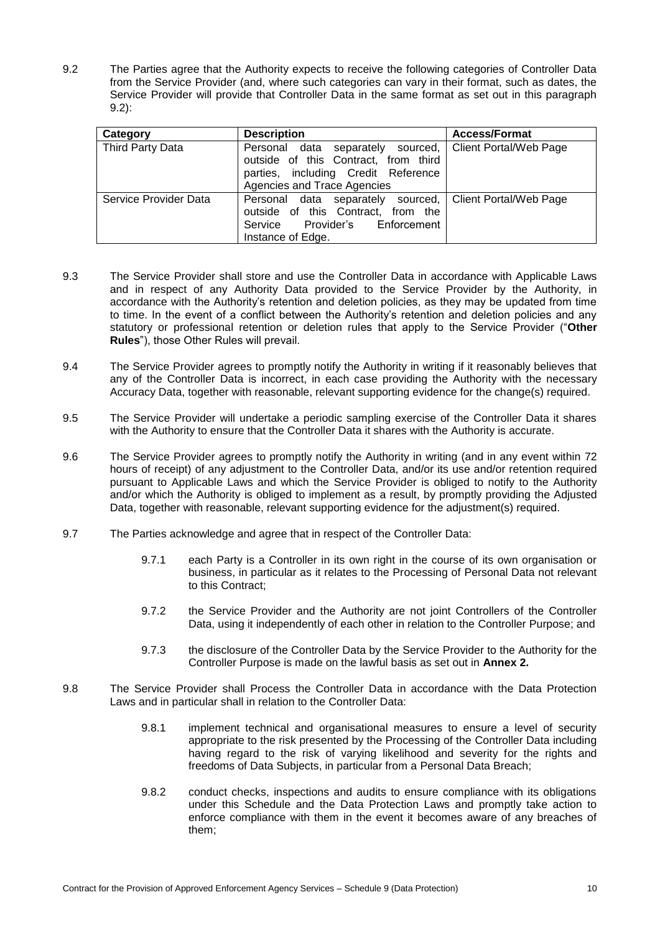<span id="page-9-0"></span>9.2 The Parties agree that the Authority expects to receive the following categories of Controller Data from the Service Provider (and, where such categories can vary in their format, such as dates, the Service Provider will provide that Controller Data in the same format as set out in this paragraph [9.2\)](#page-9-0):

| Category              | <b>Description</b>                                                                                                                                         | <b>Access/Format</b>   |
|-----------------------|------------------------------------------------------------------------------------------------------------------------------------------------------------|------------------------|
| Third Party Data      | Personal data separately sourced,<br>outside of this Contract, from third<br>parties, including Credit Reference<br>Agencies and Trace Agencies            | Client Portal/Web Page |
| Service Provider Data | Personal data separately sourced,   Client Portal/Web Page<br>outside of this Contract, from the<br>Provider's Enforcement<br>Service<br>Instance of Edge. |                        |

- 9.3 The Service Provider shall store and use the Controller Data in accordance with Applicable Laws and in respect of any Authority Data provided to the Service Provider by the Authority, in accordance with the Authority's retention and deletion policies, as they may be updated from time to time. In the event of a conflict between the Authority's retention and deletion policies and any statutory or professional retention or deletion rules that apply to the Service Provider ("**Other Rules**"), those Other Rules will prevail.
- 9.4 The Service Provider agrees to promptly notify the Authority in writing if it reasonably believes that any of the Controller Data is incorrect, in each case providing the Authority with the necessary Accuracy Data, together with reasonable, relevant supporting evidence for the change(s) required.
- 9.5 The Service Provider will undertake a periodic sampling exercise of the Controller Data it shares with the Authority to ensure that the Controller Data it shares with the Authority is accurate.
- 9.6 The Service Provider agrees to promptly notify the Authority in writing (and in any event within 72 hours of receipt) of any adjustment to the Controller Data, and/or its use and/or retention required pursuant to Applicable Laws and which the Service Provider is obliged to notify to the Authority and/or which the Authority is obliged to implement as a result, by promptly providing the Adjusted Data, together with reasonable, relevant supporting evidence for the adjustment(s) required.
- 9.7 The Parties acknowledge and agree that in respect of the Controller Data:
	- 9.7.1 each Party is a Controller in its own right in the course of its own organisation or business, in particular as it relates to the Processing of Personal Data not relevant to this Contract;
	- 9.7.2 the Service Provider and the Authority are not joint Controllers of the Controller Data, using it independently of each other in relation to the Controller Purpose; and
	- 9.7.3 the disclosure of the Controller Data by the Service Provider to the Authority for the Controller Purpose is made on the lawful basis as set out in **Annex 2.**
- 9.8 The Service Provider shall Process the Controller Data in accordance with the Data Protection Laws and in particular shall in relation to the Controller Data:
	- 9.8.1 implement technical and organisational measures to ensure a level of security appropriate to the risk presented by the Processing of the Controller Data including having regard to the risk of varying likelihood and severity for the rights and freedoms of Data Subjects, in particular from a Personal Data Breach;
	- 9.8.2 conduct checks, inspections and audits to ensure compliance with its obligations under this Schedule and the Data Protection Laws and promptly take action to enforce compliance with them in the event it becomes aware of any breaches of them;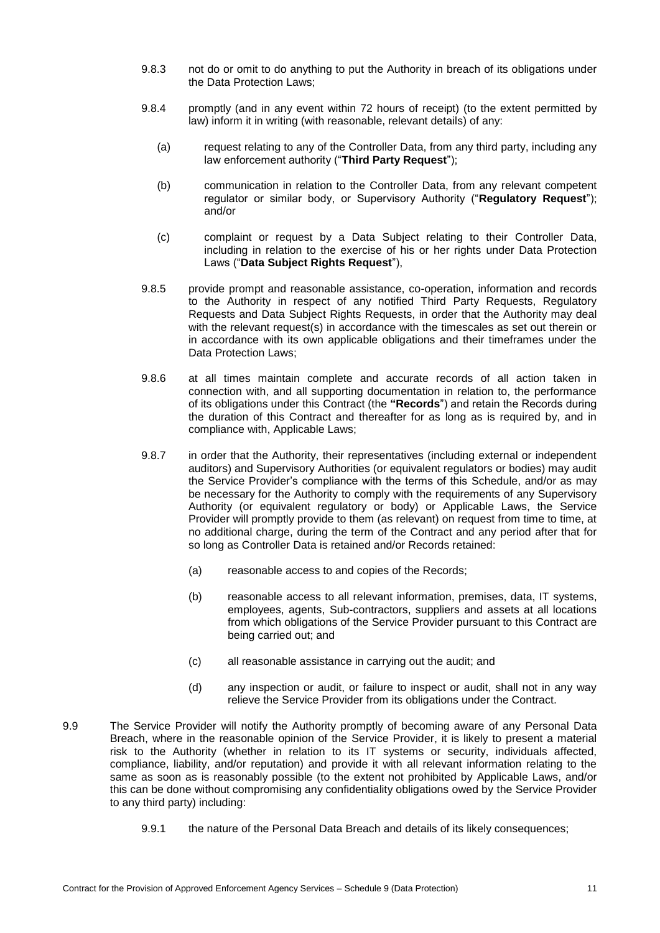- 9.8.3 not do or omit to do anything to put the Authority in breach of its obligations under the Data Protection Laws;
- 9.8.4 promptly (and in any event within 72 hours of receipt) (to the extent permitted by law) inform it in writing (with reasonable, relevant details) of any:
	- (a) request relating to any of the Controller Data, from any third party, including any law enforcement authority ("**Third Party Request**");
	- (b) communication in relation to the Controller Data, from any relevant competent regulator or similar body, or Supervisory Authority ("**Regulatory Request**"); and/or
	- (c) complaint or request by a Data Subject relating to their Controller Data, including in relation to the exercise of his or her rights under Data Protection Laws ("**Data Subject Rights Request**"),
- 9.8.5 provide prompt and reasonable assistance, co-operation, information and records to the Authority in respect of any notified Third Party Requests, Regulatory Requests and Data Subject Rights Requests, in order that the Authority may deal with the relevant request(s) in accordance with the timescales as set out therein or in accordance with its own applicable obligations and their timeframes under the Data Protection Laws;
- 9.8.6 at all times maintain complete and accurate records of all action taken in connection with, and all supporting documentation in relation to, the performance of its obligations under this Contract (the **"Records**") and retain the Records during the duration of this Contract and thereafter for as long as is required by, and in compliance with, Applicable Laws;
- 9.8.7 in order that the Authority, their representatives (including external or independent auditors) and Supervisory Authorities (or equivalent regulators or bodies) may audit the Service Provider's compliance with the terms of this Schedule, and/or as may be necessary for the Authority to comply with the requirements of any Supervisory Authority (or equivalent regulatory or body) or Applicable Laws, the Service Provider will promptly provide to them (as relevant) on request from time to time, at no additional charge, during the term of the Contract and any period after that for so long as Controller Data is retained and/or Records retained:
	- (a) reasonable access to and copies of the Records;
	- (b) reasonable access to all relevant information, premises, data, IT systems, employees, agents, Sub-contractors, suppliers and assets at all locations from which obligations of the Service Provider pursuant to this Contract are being carried out; and
	- (c) all reasonable assistance in carrying out the audit; and
	- (d) any inspection or audit, or failure to inspect or audit, shall not in any way relieve the Service Provider from its obligations under the Contract.
- 9.9 The Service Provider will notify the Authority promptly of becoming aware of any Personal Data Breach, where in the reasonable opinion of the Service Provider, it is likely to present a material risk to the Authority (whether in relation to its IT systems or security, individuals affected, compliance, liability, and/or reputation) and provide it with all relevant information relating to the same as soon as is reasonably possible (to the extent not prohibited by Applicable Laws, and/or this can be done without compromising any confidentiality obligations owed by the Service Provider to any third party) including:
	- 9.9.1 the nature of the Personal Data Breach and details of its likely consequences;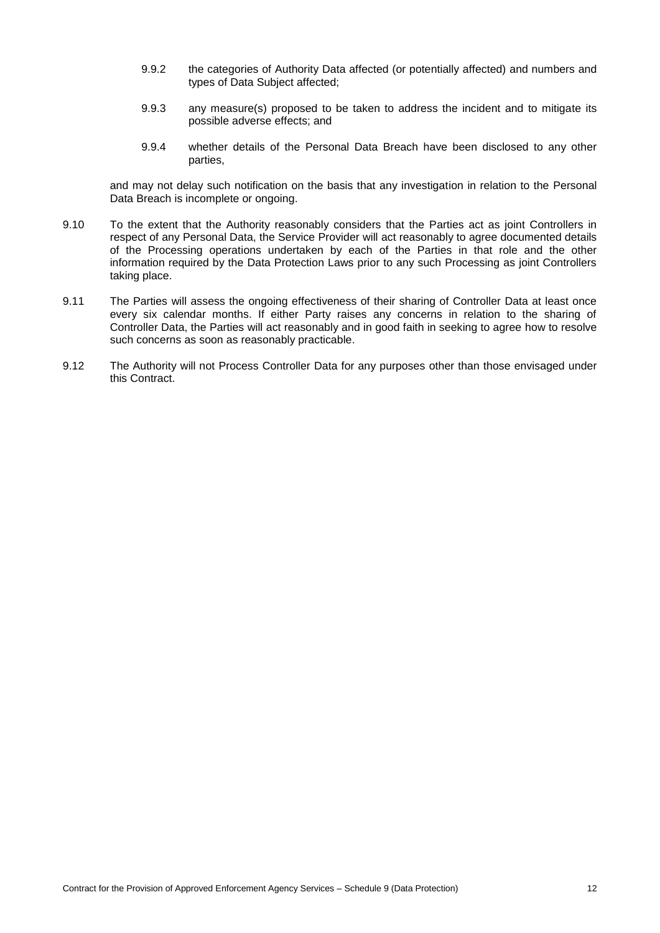- 9.9.2 the categories of Authority Data affected (or potentially affected) and numbers and types of Data Subject affected;
- 9.9.3 any measure(s) proposed to be taken to address the incident and to mitigate its possible adverse effects; and
- 9.9.4 whether details of the Personal Data Breach have been disclosed to any other parties,

and may not delay such notification on the basis that any investigation in relation to the Personal Data Breach is incomplete or ongoing.

- 9.10 To the extent that the Authority reasonably considers that the Parties act as joint Controllers in respect of any Personal Data, the Service Provider will act reasonably to agree documented details of the Processing operations undertaken by each of the Parties in that role and the other information required by the Data Protection Laws prior to any such Processing as joint Controllers taking place.
- 9.11 The Parties will assess the ongoing effectiveness of their sharing of Controller Data at least once every six calendar months. If either Party raises any concerns in relation to the sharing of Controller Data, the Parties will act reasonably and in good faith in seeking to agree how to resolve such concerns as soon as reasonably practicable.
- 9.12 The Authority will not Process Controller Data for any purposes other than those envisaged under this Contract.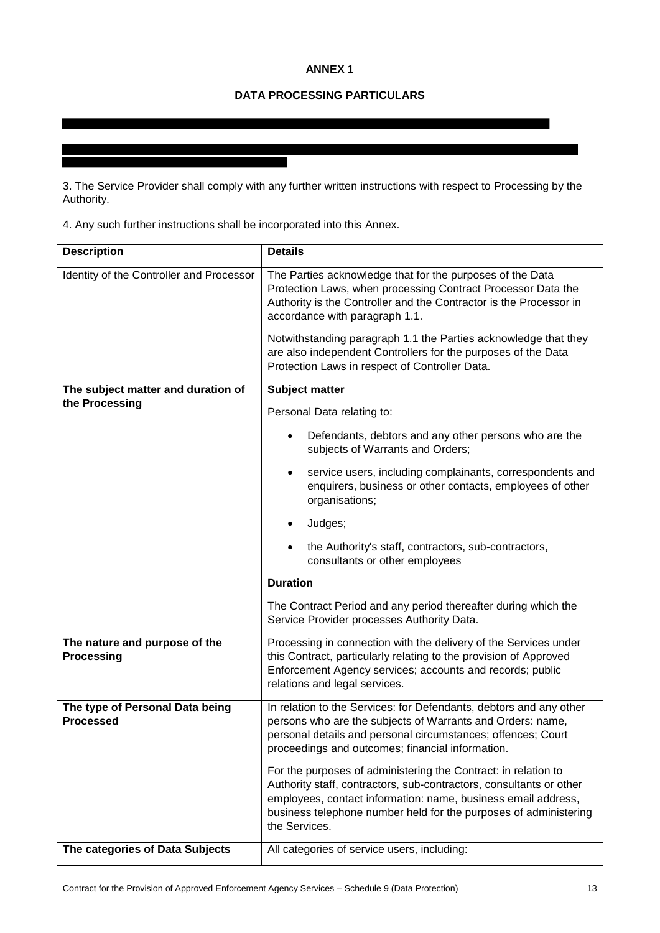# **ANNEX 1**

# **DATA PROCESSING PARTICULARS**

3. The Service Provider shall comply with any further written instructions with respect to Processing by the Authority.

4. Any such further instructions shall be incorporated into this Annex.

| <b>Description</b>                                  | <b>Details</b>                                                                                                                                                                                                                                                                              |  |
|-----------------------------------------------------|---------------------------------------------------------------------------------------------------------------------------------------------------------------------------------------------------------------------------------------------------------------------------------------------|--|
| Identity of the Controller and Processor            | The Parties acknowledge that for the purposes of the Data<br>Protection Laws, when processing Contract Processor Data the<br>Authority is the Controller and the Contractor is the Processor in<br>accordance with paragraph 1.1.                                                           |  |
|                                                     | Notwithstanding paragraph 1.1 the Parties acknowledge that they<br>are also independent Controllers for the purposes of the Data<br>Protection Laws in respect of Controller Data.                                                                                                          |  |
| The subject matter and duration of                  | Subject matter                                                                                                                                                                                                                                                                              |  |
| the Processing                                      | Personal Data relating to:                                                                                                                                                                                                                                                                  |  |
|                                                     | Defendants, debtors and any other persons who are the<br>subjects of Warrants and Orders;                                                                                                                                                                                                   |  |
|                                                     | service users, including complainants, correspondents and<br>enquirers, business or other contacts, employees of other<br>organisations;                                                                                                                                                    |  |
|                                                     | Judges;<br>$\bullet$                                                                                                                                                                                                                                                                        |  |
|                                                     | the Authority's staff, contractors, sub-contractors,<br>consultants or other employees                                                                                                                                                                                                      |  |
|                                                     | <b>Duration</b>                                                                                                                                                                                                                                                                             |  |
|                                                     | The Contract Period and any period thereafter during which the<br>Service Provider processes Authority Data.                                                                                                                                                                                |  |
| The nature and purpose of the<br><b>Processing</b>  | Processing in connection with the delivery of the Services under<br>this Contract, particularly relating to the provision of Approved<br>Enforcement Agency services; accounts and records; public<br>relations and legal services.                                                         |  |
| The type of Personal Data being<br><b>Processed</b> | In relation to the Services: for Defendants, debtors and any other<br>persons who are the subjects of Warrants and Orders: name,<br>personal details and personal circumstances; offences; Court<br>proceedings and outcomes; financial information.                                        |  |
|                                                     | For the purposes of administering the Contract: in relation to<br>Authority staff, contractors, sub-contractors, consultants or other<br>employees, contact information: name, business email address,<br>business telephone number held for the purposes of administering<br>the Services. |  |
| The categories of Data Subjects                     | All categories of service users, including:                                                                                                                                                                                                                                                 |  |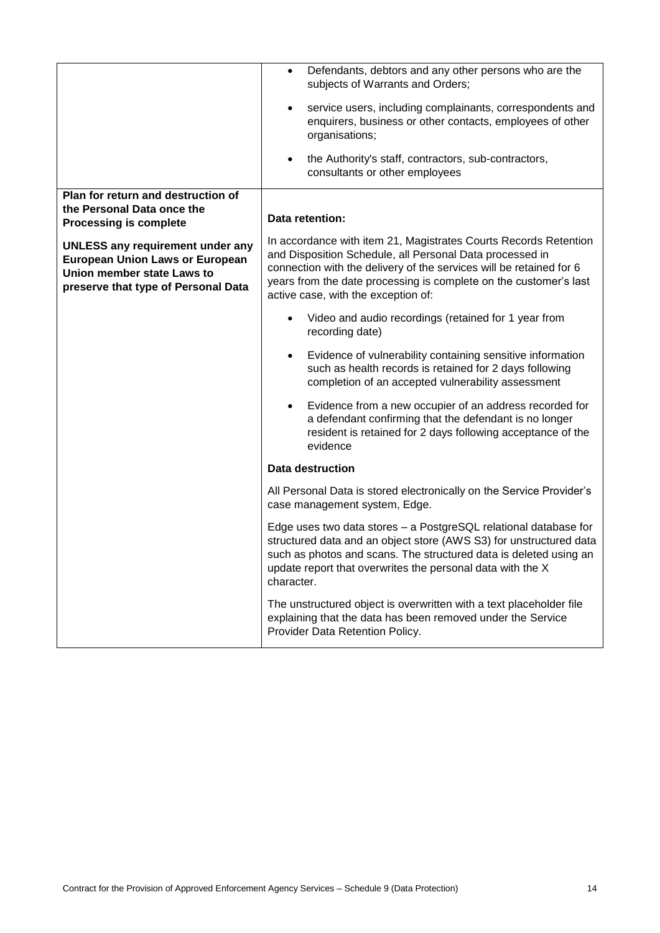|                                                                                                                                                        | Defendants, debtors and any other persons who are the<br>$\bullet$<br>subjects of Warrants and Orders;                                                                                                                                                                                                          |
|--------------------------------------------------------------------------------------------------------------------------------------------------------|-----------------------------------------------------------------------------------------------------------------------------------------------------------------------------------------------------------------------------------------------------------------------------------------------------------------|
|                                                                                                                                                        | service users, including complainants, correspondents and<br>$\bullet$<br>enquirers, business or other contacts, employees of other<br>organisations;                                                                                                                                                           |
|                                                                                                                                                        | the Authority's staff, contractors, sub-contractors,<br>$\bullet$<br>consultants or other employees                                                                                                                                                                                                             |
| Plan for return and destruction of<br>the Personal Data once the<br><b>Processing is complete</b>                                                      | Data retention:                                                                                                                                                                                                                                                                                                 |
| <b>UNLESS any requirement under any</b><br><b>European Union Laws or European</b><br>Union member state Laws to<br>preserve that type of Personal Data | In accordance with item 21, Magistrates Courts Records Retention<br>and Disposition Schedule, all Personal Data processed in<br>connection with the delivery of the services will be retained for 6<br>years from the date processing is complete on the customer's last<br>active case, with the exception of: |
|                                                                                                                                                        | Video and audio recordings (retained for 1 year from<br>recording date)                                                                                                                                                                                                                                         |
|                                                                                                                                                        | Evidence of vulnerability containing sensitive information<br>$\bullet$<br>such as health records is retained for 2 days following<br>completion of an accepted vulnerability assessment                                                                                                                        |
|                                                                                                                                                        | Evidence from a new occupier of an address recorded for<br>$\bullet$<br>a defendant confirming that the defendant is no longer<br>resident is retained for 2 days following acceptance of the<br>evidence                                                                                                       |
|                                                                                                                                                        | Data destruction                                                                                                                                                                                                                                                                                                |
|                                                                                                                                                        | All Personal Data is stored electronically on the Service Provider's<br>case management system, Edge.                                                                                                                                                                                                           |
|                                                                                                                                                        | Edge uses two data stores - a PostgreSQL relational database for<br>structured data and an object store (AWS S3) for unstructured data<br>such as photos and scans. The structured data is deleted using an<br>update report that overwrites the personal data with the X<br>character.                         |
|                                                                                                                                                        | The unstructured object is overwritten with a text placeholder file<br>explaining that the data has been removed under the Service<br>Provider Data Retention Policy.                                                                                                                                           |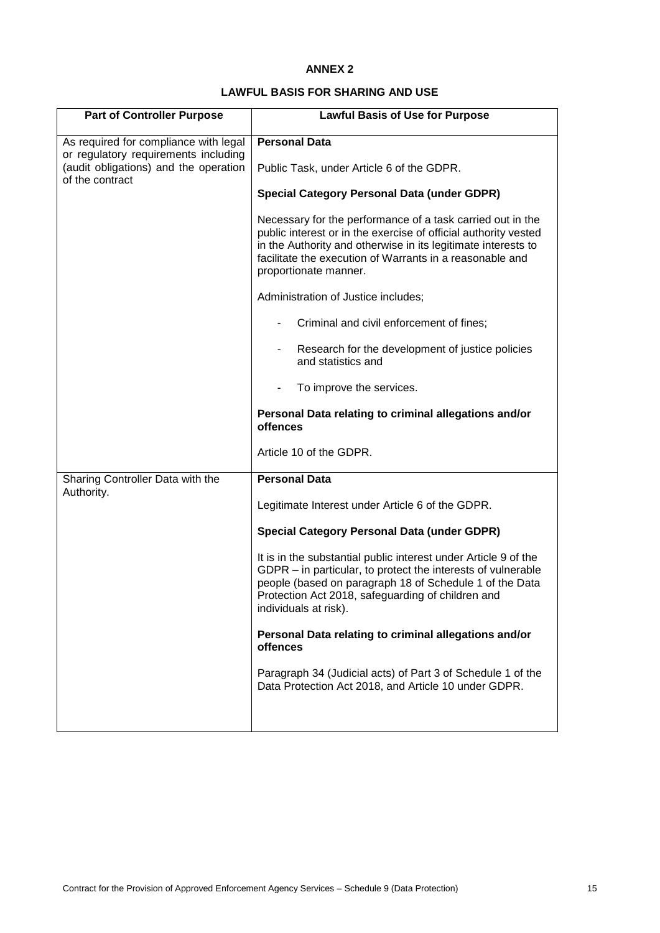# **ANNEX 2**

# **LAWFUL BASIS FOR SHARING AND USE**

| <b>Part of Controller Purpose</b>                                                                | <b>Lawful Basis of Use for Purpose</b>                                                                                                                                                                                                                                              |
|--------------------------------------------------------------------------------------------------|-------------------------------------------------------------------------------------------------------------------------------------------------------------------------------------------------------------------------------------------------------------------------------------|
| As required for compliance with legal                                                            | <b>Personal Data</b>                                                                                                                                                                                                                                                                |
| or regulatory requirements including<br>(audit obligations) and the operation<br>of the contract | Public Task, under Article 6 of the GDPR.                                                                                                                                                                                                                                           |
|                                                                                                  | <b>Special Category Personal Data (under GDPR)</b>                                                                                                                                                                                                                                  |
|                                                                                                  | Necessary for the performance of a task carried out in the<br>public interest or in the exercise of official authority vested<br>in the Authority and otherwise in its legitimate interests to<br>facilitate the execution of Warrants in a reasonable and<br>proportionate manner. |
|                                                                                                  | Administration of Justice includes;                                                                                                                                                                                                                                                 |
|                                                                                                  | Criminal and civil enforcement of fines;                                                                                                                                                                                                                                            |
|                                                                                                  | Research for the development of justice policies<br>and statistics and                                                                                                                                                                                                              |
|                                                                                                  | To improve the services.                                                                                                                                                                                                                                                            |
|                                                                                                  | Personal Data relating to criminal allegations and/or<br>offences                                                                                                                                                                                                                   |
|                                                                                                  | Article 10 of the GDPR.                                                                                                                                                                                                                                                             |
| Sharing Controller Data with the<br>Authority.                                                   | <b>Personal Data</b>                                                                                                                                                                                                                                                                |
|                                                                                                  | Legitimate Interest under Article 6 of the GDPR.                                                                                                                                                                                                                                    |
|                                                                                                  | <b>Special Category Personal Data (under GDPR)</b>                                                                                                                                                                                                                                  |
|                                                                                                  | It is in the substantial public interest under Article 9 of the<br>GDPR - in particular, to protect the interests of vulnerable<br>people (based on paragraph 18 of Schedule 1 of the Data<br>Protection Act 2018, safeguarding of children and<br>individuals at risk).            |
|                                                                                                  | Personal Data relating to criminal allegations and/or<br>offences                                                                                                                                                                                                                   |
|                                                                                                  | Paragraph 34 (Judicial acts) of Part 3 of Schedule 1 of the<br>Data Protection Act 2018, and Article 10 under GDPR.                                                                                                                                                                 |
|                                                                                                  |                                                                                                                                                                                                                                                                                     |